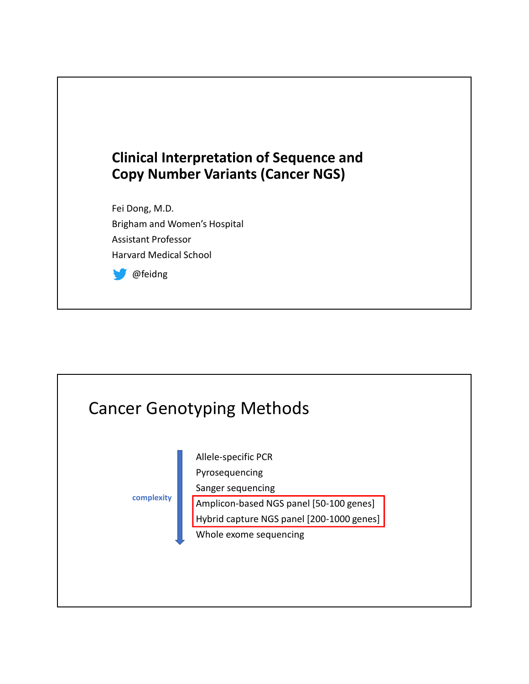

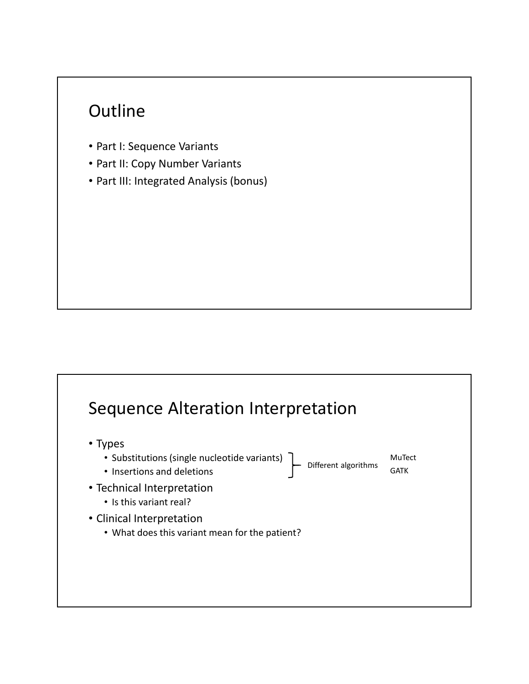## **Outline**

- Part I: Sequence Variants
- Part II: Copy Number Variants
- Part III: Integrated Analysis (bonus)

## Sequence Alteration Interpretation • Types • Substitutions (single nucleotide variants) • Insertions and deletions • Technical Interpretation • Is this variant real? • Clinical Interpretation • What does this variant mean for the patient? Different algorithms GATK MuTect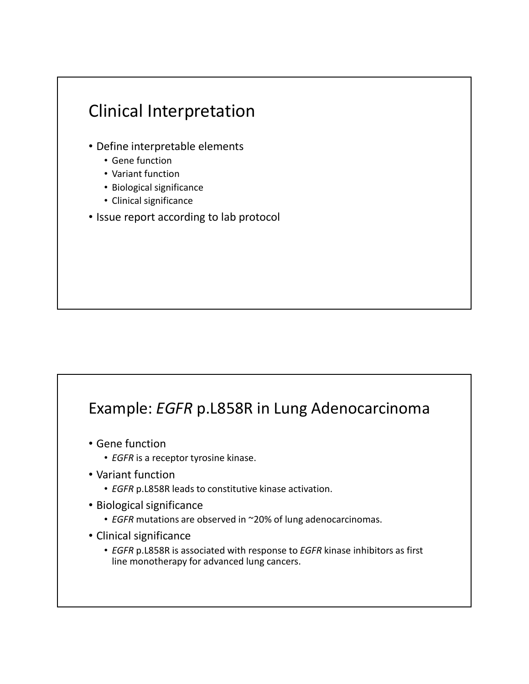

#### Example: *EGFR* p.L858R in Lung Adenocarcinoma

- Gene function
	- *EGFR* is a receptor tyrosine kinase.
- Variant function
	- *EGFR* p.L858R leads to constitutive kinase activation.
- Biological significance
	- *EGFR* mutations are observed in ~20% of lung adenocarcinomas.
- Clinical significance
	- *EGFR* p.L858R is associated with response to *EGFR* kinase inhibitors as first line monotherapy for advanced lung cancers.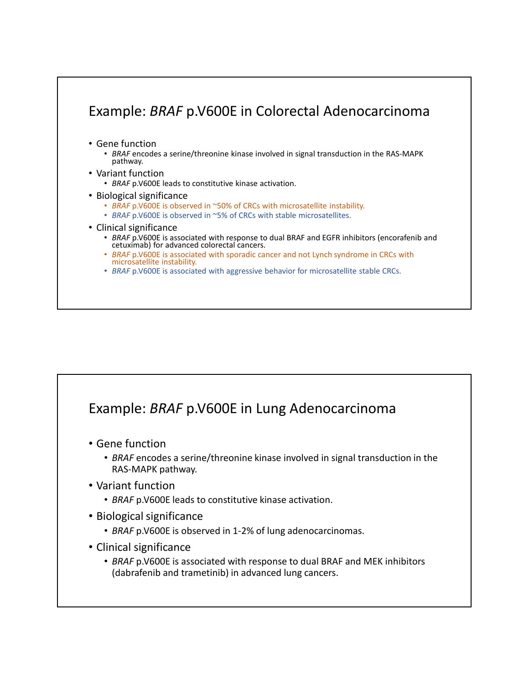#### Example: *BRAF* p.V600E in Colorectal Adenocarcinoma

- Gene function
	- *BRAF* encodes a serine/threonine kinase involved in signal transduction in the RAS-MAPK pathway.
- Variant function

• *BRAF* p.V600E leads to constitutive kinase activation.

- Biological significance
	- *BRAF* p.V600E is observed in ~50% of CRCs with microsatellite instability.
	- *BRAF* p.V600E is observed in ~5% of CRCs with stable microsatellites.
- Clinical significance
	- *BRAF* p.V600E is associated with response to dual BRAF and EGFR inhibitors (encorafenib and cetuximab) for advanced colorectal cancers.
	- *BRAF* p.V600E is associated with sporadic cancer and not Lynch syndrome in CRCs with microsatellite instability.
	- *BRAF* p.V600E is associated with aggressive behavior for microsatellite stable CRCs.

#### Example: *BRAF* p.V600E in Lung Adenocarcinoma

- Gene function
	- *BRAF* encodes a serine/threonine kinase involved in signal transduction in the RAS-MAPK pathway.
- Variant function
	- *BRAF* p.V600E leads to constitutive kinase activation.
- Biological significance
	- *BRAF* p.V600E is observed in 1-2% of lung adenocarcinomas.
- Clinical significance
	- *BRAF* p.V600E is associated with response to dual BRAF and MEK inhibitors (dabrafenib and trametinib) in advanced lung cancers.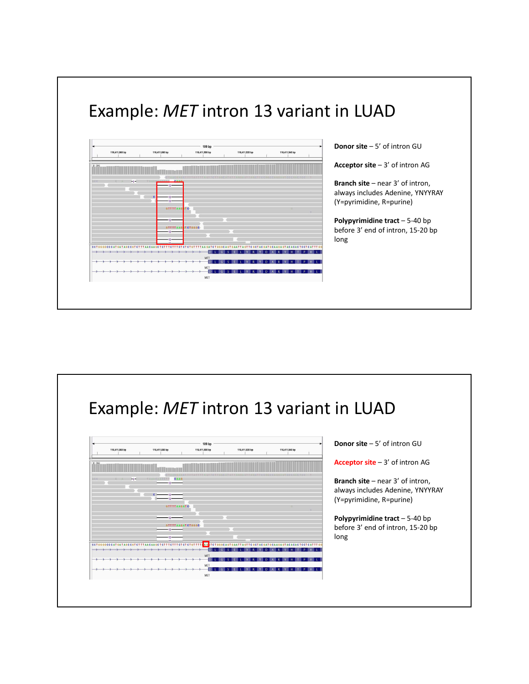## Example: *MET* intron 13 variant in LUAD

| 116,411,860 bp |       | 116,411,880 bp     | 116,411,900 bp   | 109 bp                                        | 116,411,920 bp    |                                                         | 116,411,940 bp         |
|----------------|-------|--------------------|------------------|-----------------------------------------------|-------------------|---------------------------------------------------------|------------------------|
| [0.304]        |       |                    |                  |                                               |                   |                                                         |                        |
|                |       |                    |                  |                                               |                   |                                                         |                        |
| GCC            | $-2-$ | AARRES CAAR        |                  |                                               |                   |                                                         |                        |
|                |       | $-12 -$            |                  |                                               |                   |                                                         |                        |
|                |       |                    |                  |                                               |                   |                                                         |                        |
|                | c     | $12 -$<br>$12 -$   |                  |                                               |                   |                                                         |                        |
|                |       | <b>GTTTTAAG TC</b> |                  |                                               |                   |                                                         |                        |
|                |       |                    |                  |                                               |                   |                                                         |                        |
|                |       | $-12 -$            |                  |                                               |                   |                                                         |                        |
|                |       |                    | GTTTTAAG TCTGGGC |                                               |                   |                                                         |                        |
|                |       | $12 -$             |                  |                                               |                   |                                                         |                        |
|                |       | $-12 -$            |                  |                                               |                   |                                                         |                        |
|                |       |                    |                  |                                               |                   |                                                         |                        |
|                |       |                    |                  | $\overline{D}$<br>G<br>s.                     | w<br>$\mathbb{R}$ | $\mathsf{D}$<br>$\mathbb{R}$<br>$\mathbf v$<br><b>A</b> | Ð<br>$\mathbf{v}$<br>н |
|                |       |                    |                  | MET<br>D<br>$\mathbf{I}$<br>$\mathbf{s}$<br>G | R                 | D.<br>л                                                 |                        |
|                |       |                    |                  | MET                                           |                   |                                                         |                        |
|                |       |                    |                  | $\Omega$<br>$\epsilon$<br>$S \rvert F$        | RY<br>v           | $D$ $K$                                                 | RV<br>H<br>PHU         |
|                |       |                    |                  | MET                                           |                   |                                                         |                        |

**Donor site** – 5' of intron GU

**Acceptor site** – 3' of intron AG

**Branch site** – near 3' of intron, always includes Adenine, YNYYRAY (Y=pyrimidine, R=purine)

**Polypyrimidine tract – 5-40 bp** before 3' end of intron, 15-20 bp long

#### Example: *MET* intron 13 variant in LUAD

|         | 116,411,860 bp | 116,411,880 bp               | 109 bp<br>116,411,900 bp | 116,411,920 bp                       | 116,411,940 bp                                                         |         |
|---------|----------------|------------------------------|--------------------------|--------------------------------------|------------------------------------------------------------------------|---------|
|         |                |                              |                          |                                      |                                                                        |         |
| [0.304] |                |                              |                          |                                      |                                                                        |         |
|         |                |                              |                          |                                      |                                                                        |         |
| GCC     | $\frac{1}{2}$  | CAAG<br>TAAACAACCTT<br>$-12$ |                          |                                      |                                                                        |         |
|         |                |                              |                          |                                      |                                                                        |         |
|         |                | $\mathbf{c}$ .<br>$-12$      |                          |                                      |                                                                        |         |
|         |                | $-12-$                       |                          |                                      |                                                                        |         |
|         |                | <b>GTTTTAAGATC</b>           |                          |                                      |                                                                        |         |
|         |                | $-12$ –                      |                          |                                      |                                                                        |         |
|         |                |                              |                          |                                      |                                                                        |         |
|         |                | $-12-$                       | <b>GTTTTAAGATCTGGGC</b>  |                                      |                                                                        |         |
|         |                | $-12-$                       |                          |                                      |                                                                        |         |
|         |                |                              |                          |                                      |                                                                        |         |
|         |                |                              | D.                       | s.<br>$\mathbb{R}$<br>G<br>l V<br>F. | $\overline{D}$<br>$\overline{R}$<br><b>Y</b><br>A<br>$\mathbf{u}$<br>н | D.<br>H |
|         |                |                              | MET<br>$\overline{D}$    | G<br>. V                             |                                                                        |         |
|         |                |                              | т.<br>MET                | $S \rvert F$<br>R Y                  | D <sub>0</sub><br>R V<br>HIT                                           | PHIL    |
|         |                |                              | $D$ <sub>L</sub>         | G<br>SE L V R Y                      | $D$ $A$ $R$ $V$<br><b>H</b>                                            | PHL     |
|         |                |                              | MET                      |                                      |                                                                        |         |

**Donor site** – 5' of intron GU

**Acceptor site** – 3' of intron AG

**Branch site** – near 3' of intron, always includes Adenine, YNYYRAY (Y=pyrimidine, R=purine)

**Polypyrimidine tract** – 5-40 bp before 3' end of intron, 15-20 bp long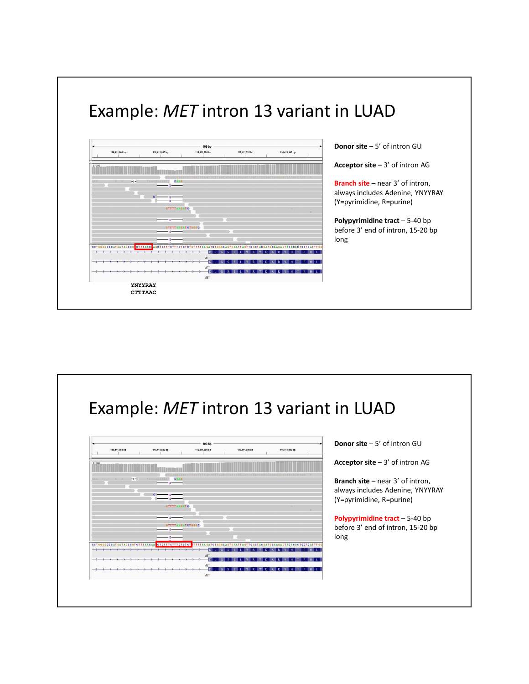

| 116,411,860 bp                                                                                                | 116,411,880 bp                | 109 bp<br>116,411,900 bp | 116,411,920 bp | 116,411,940 bp    |
|---------------------------------------------------------------------------------------------------------------|-------------------------------|--------------------------|----------------|-------------------|
| [0.304]                                                                                                       |                               |                          |                |                   |
|                                                                                                               |                               |                          |                | CCCGACTCC         |
| $-2$<br>GCC                                                                                                   | TAAACAACCTT<br>CAAG<br>$12 -$ |                          |                |                   |
|                                                                                                               |                               |                          |                |                   |
| $c$ .                                                                                                         | $-12-$<br>$-12 -$             |                          |                |                   |
|                                                                                                               | <b>GTTTTAAGATC</b>            |                          |                | $\alpha$          |
|                                                                                                               | $-12 -$                       |                          |                |                   |
|                                                                                                               | <b>GTTTTAAGATCTGGGC</b>       |                          |                |                   |
|                                                                                                               | $12 -$                        |                          |                |                   |
|                                                                                                               | $-12 -$                       |                          |                |                   |
| CCTOGGGCCCATGATAGCCG CTTTAAC AGCTCTTTCTTTCTCTCTGTTTTAAGATCTGGGCAGTGAATTAGTTCGCTACGATGCAAGAGTACACACTCCTCATTTGG |                               | $\mathbf{D}$<br>S        |                | $\mathbf{D}$<br>R |
|                                                                                                               |                               | MET                      |                |                   |
|                                                                                                               |                               | D<br>MET                 |                |                   |
|                                                                                                               |                               | $\overline{D}$<br>S      | R              | $\mathbf{D}$<br>R |
|                                                                                                               |                               | MET                      |                |                   |
| <b>YNYYRAY</b>                                                                                                |                               |                          |                |                   |
| <b>CTTTAAC</b>                                                                                                |                               |                          |                |                   |

**Donor site** – 5' of intron GU

**Acceptor site** – 3' of intron AG

**Branch site** – near 3' of intron, always includes Adenine, YNYYRAY (Y=pyrimidine, R=purine)

**Polypyrimidine tract – 5-40 bp** before 3' end of intron, 15-20 bp long

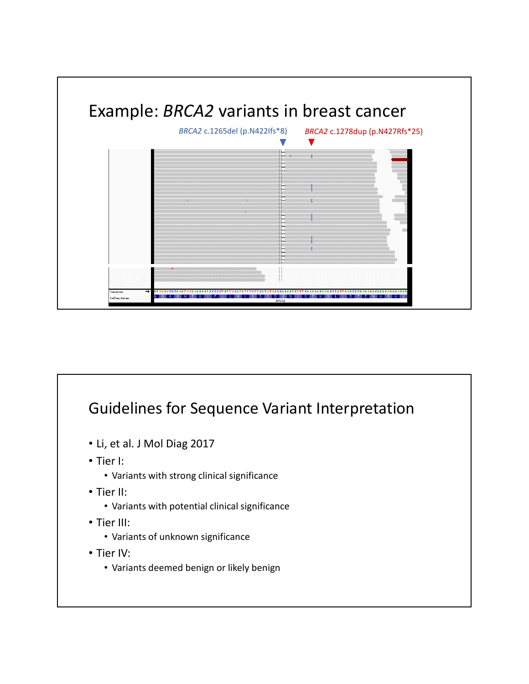

### Guidelines for Sequence Variant Interpretation

- Li, et al. J Mol Diag 2017
- Tier I:
	- Variants with strong clinical significance
- Tier II:
	- Variants with potential clinical significance
- Tier III:
	- Variants of unknown significance
- Tier IV:
	- Variants deemed benign or likely benign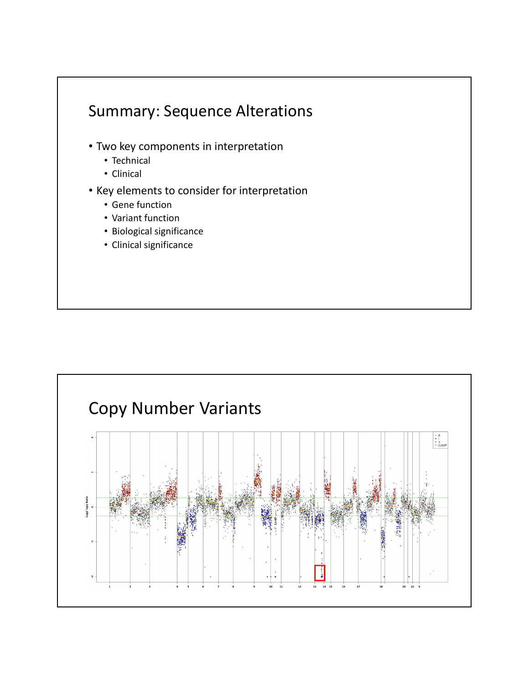

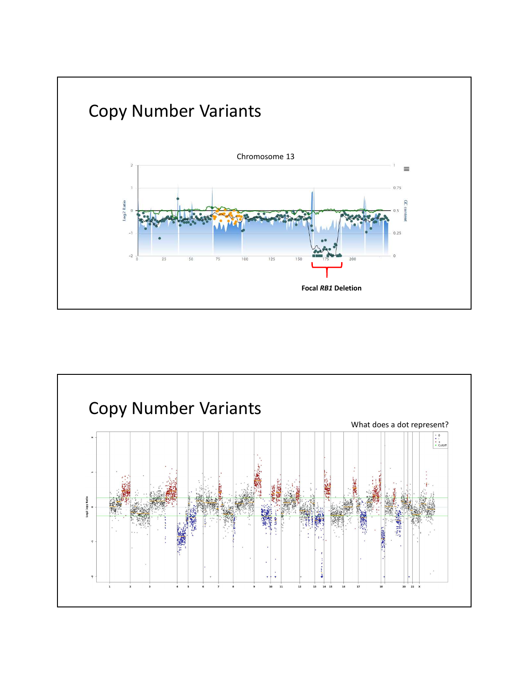

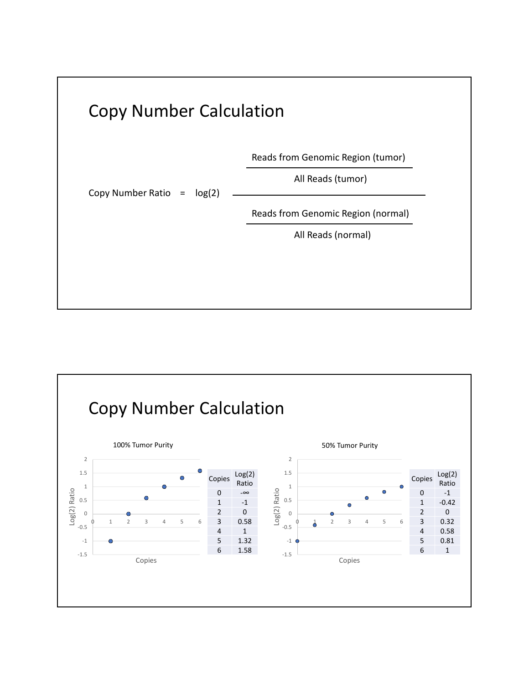

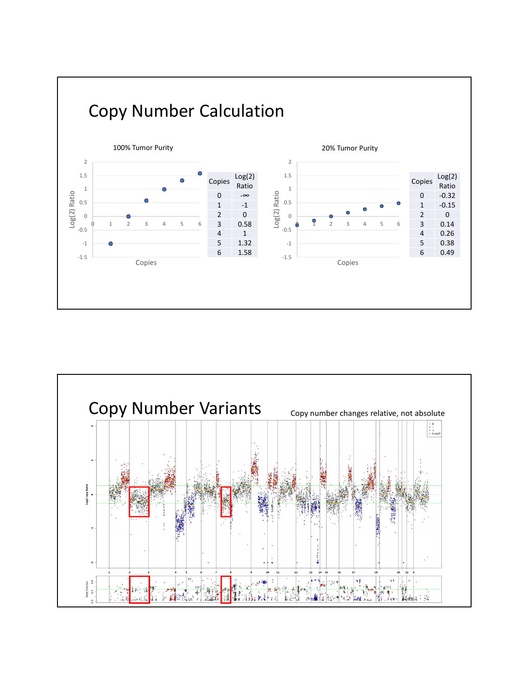

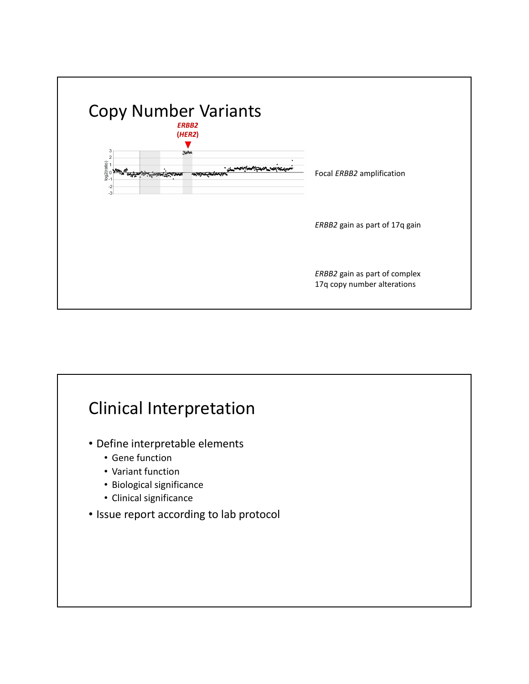

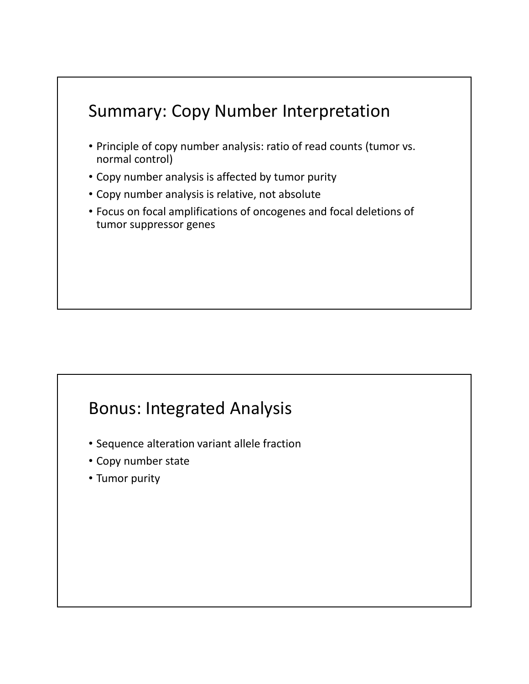# Summary: Copy Number Interpretation • Principle of copy number analysis: ratio of read counts (tumor vs. normal control) • Copy number analysis is affected by tumor purity • Copy number analysis is relative, not absolute • Focus on focal amplifications of oncogenes and focal deletions of tumor suppressor genes

### Bonus: Integrated Analysis

- Sequence alteration variant allele fraction
- Copy number state
- Tumor purity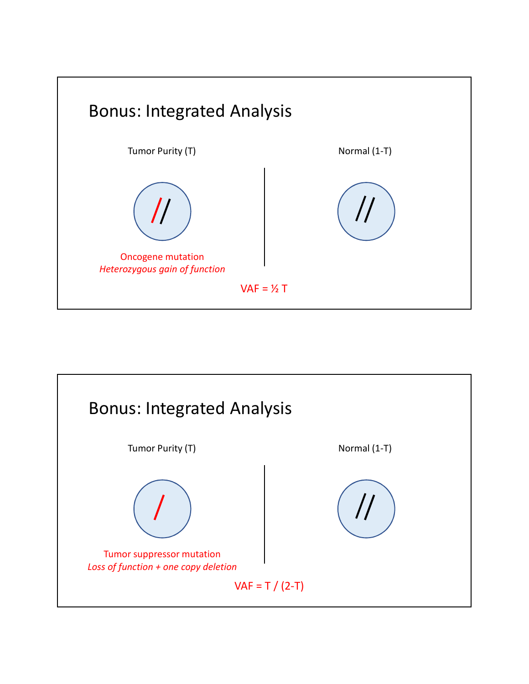

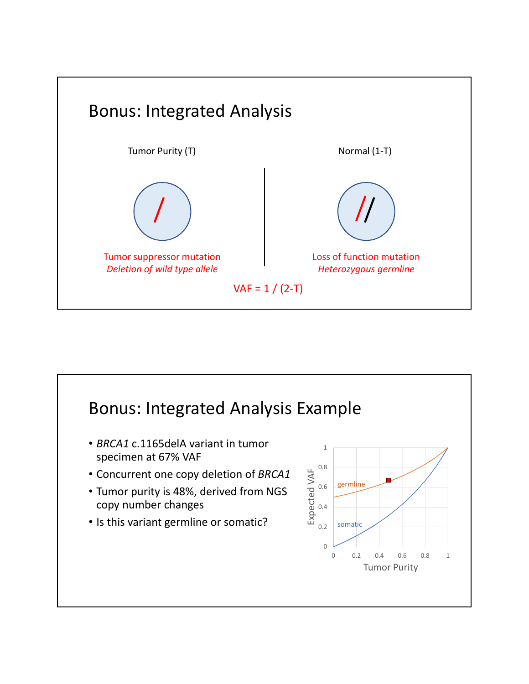